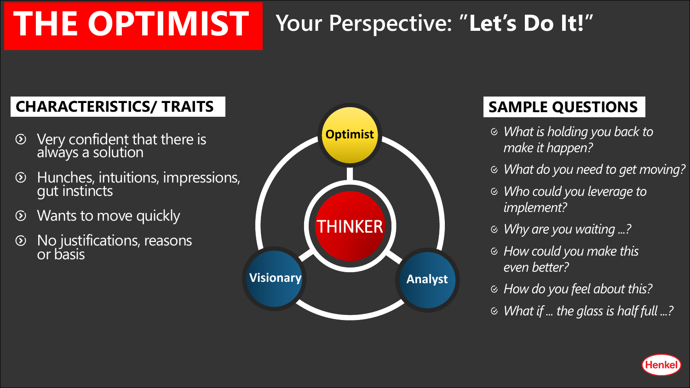# **THE OPTIMIST Your Perspective: "Let's Do It!"**

#### **CHARACTERISTICS/ TRAITS**

- Very confident that there is  $\odot$ always a solution
- Hunches, intuitions, impressions,  $\odot$ gut instincts
- Wants to move quickly  $\circledcirc$
- $\odot$ No justifications, reasons or basis



### **SAMPLE QUESTIONS**

- *What is holding you back to make it happen?*
- *What do you need to get moving?*
- *Who could you leverage to implement?*
- *Why are you waiting ...?*
- *How could you make this even better?*
- *How do you feel about this?*
- *What if ... the glass is half full ...?*

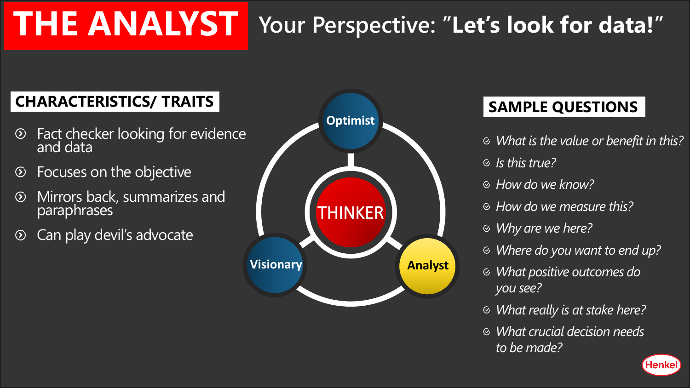# **THE ANALYST Your Perspective: "Let's look for data!"**

#### **CHARACTERISTICS/ TRAITS**

- Fact checker looking for evidence  $\odot$ and data
- Focuses on the objective  $\circledcirc$
- Mirrors back, summarizes and  $\odot$ paraphrases
- Can play devil's advocate  $\odot$



#### **SAMPLE QUESTIONS**

- *What is the value or benefit in this?*
- *Is this true?*
- *How do we know?*
- *How do we measure this?*
- *Why are we here?*
- *Where do you want to end up?*
- *What positive outcomes do you see?*
- *What really is at stake here?*
- *What crucial decision needs to be made?*